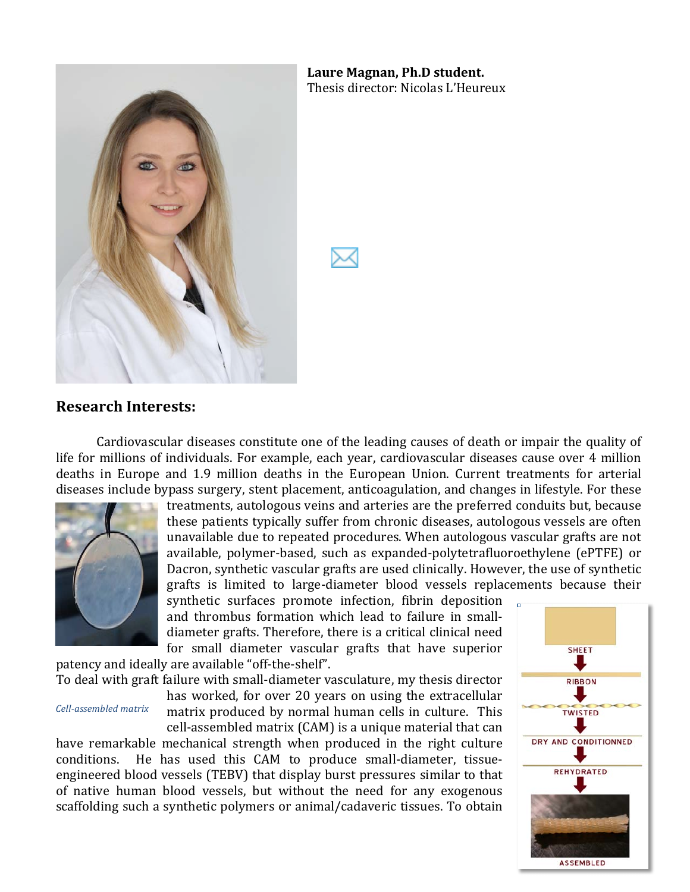

Laure Magnan, Ph.D student. Thesis director: Nicolas L'Heureux

### **Research&Interests:**

Cardiovascular diseases constitute one of the leading causes of death or impair the quality of life for millions of individuals. For example, each year, cardiovascular diseases cause over 4 million deaths in Europe and 1.9 million deaths in the European Union. Current treatments for arterial diseases include bypass surgery, stent placement, anticoagulation, and changes in lifestyle. For these



treatments, autologous veins and arteries are the preferred conduits but, because these patients typically suffer from chronic diseases, autologous vessels are often unavailable due to repeated procedures. When autologous vascular grafts are not available, polymer-based, such as expanded-polytetrafluoroethylene (ePTFE) or Dacron, synthetic vascular grafts are used clinically. However, the use of synthetic grafts is limited to large-diameter blood vessels replacements because their

synthetic surfaces promote infection, fibrin deposition and thrombus formation which lead to failure in smalldiameter grafts. Therefore, there is a critical clinical need for small diameter vascular grafts that have superior patency and ideally are available "off-the-shelf".

To deal with graft failure with small-diameter vasculature, my thesis director

#### *Cell-assembled matrix*

has worked, for over 20 years on using the extracellular matrix produced by normal human cells in culture. This cell-assembled matrix (CAM) is a unique material that can

have remarkable mechanical strength when produced in the right culture conditions. He has used this CAM to produce small-diameter, tissueengineered blood vessels (TEBV) that display burst pressures similar to that of native human blood vessels, but without the need for any exogenous scaffolding such a synthetic polymers or animal/cadaveric tissues. To obtain